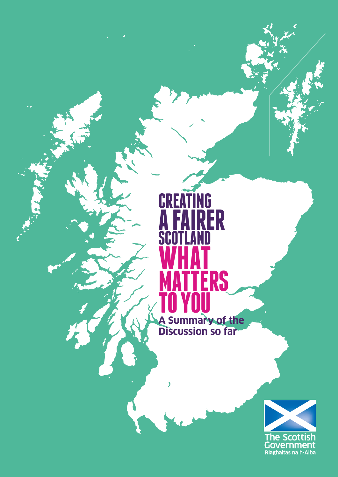# **CREATING A FAIRER SCOTLAND WHAT MATTERS TO YOU A Summary of the**

**Discussion so far**

 $\overline{\mathbf{y}}$ 

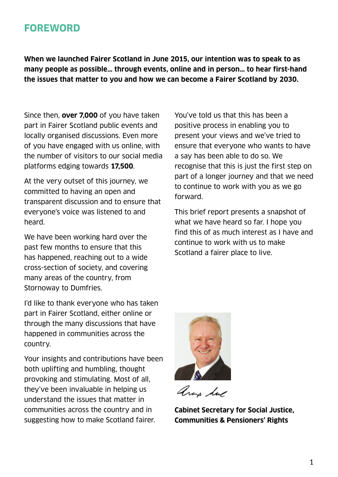### **FOREWORD**

**When we launched Fairer Scotland in June 2015, our intention was to speak to as many people as possible… through events, online and in person… to hear first-hand the issues that matter to you and how we can become a Fairer Scotland by 2030.**

Since then, **over 7,000** of you have taken part in Fairer Scotland public events and locally organised discussions. Even more of you have engaged with us online, with the number of visitors to our social media platforms edging towards **17,500**.

At the very outset of this journey, we committed to having an open and transparent discussion and to ensure that everyone's voice was listened to and heard.

We have been working hard over the past few months to ensure that this has happened, reaching out to a wide cross-section of society, and covering many areas of the country, from Stornoway to Dumfries.

I'd like to thank everyone who has taken part in Fairer Scotland, either online or through the many discussions that have happened in communities across the country.

Your insights and contributions have been both uplifting and humbling, thought provoking and stimulating. Most of all, they've been invaluable in helping us understand the issues that matter in communities across the country and in suggesting how to make Scotland fairer.

You've told us that this has been a positive process in enabling you to present your views and we've tried to ensure that everyone who wants to have a say has been able to do so. We recognise that this is just the first step on part of a longer journey and that we need to continue to work with you as we go forward.

This brief report presents a snapshot of what we have heard so far. I hope you find this of as much interest as I have and continue to work with us to make Scotland a fairer place to live.



ana da

**Cabinet Secretary for Social Justice, Communities & Pensioners' Rights**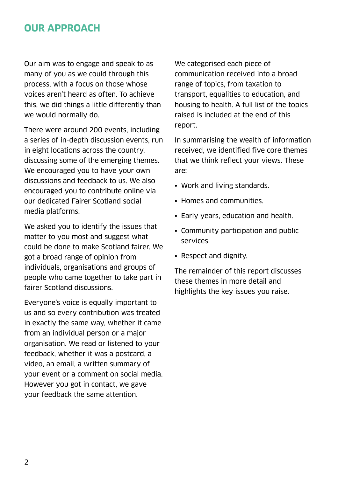### **OUR APPROACH**

Our aim was to engage and speak to as many of you as we could through this process, with a focus on those whose voices aren't heard as often. To achieve this, we did things a little differently than we would normally do.

There were around 200 events, including a series of in-depth discussion events, run in eight locations across the country, discussing some of the emerging themes. We encouraged you to have your own discussions and feedback to us. We also encouraged you to contribute online via our dedicated Fairer Scotland social media platforms.

We asked you to identify the issues that matter to you most and suggest what could be done to make Scotland fairer. We got a broad range of opinion from individuals, organisations and groups of people who came together to take part in fairer Scotland discussions.

Everyone's voice is equally important to us and so every contribution was treated in exactly the same way, whether it came from an individual person or a major organisation. We read or listened to your feedback, whether it was a postcard, a video, an email, a written summary of your event or a comment on social media. However you got in contact, we gave your feedback the same attention.

We categorised each piece of communication received into a broad range of topics, from taxation to transport, equalities to education, and housing to health. A full list of the topics raised is included at the end of this report.

In summarising the wealth of information received, we identified five core themes that we think reflect your views. These are:

- Work and living standards.
- Homes and communities.
- Early years, education and health.
- Community participation and public services.
- Respect and dignity.

The remainder of this report discusses these themes in more detail and highlights the key issues you raise.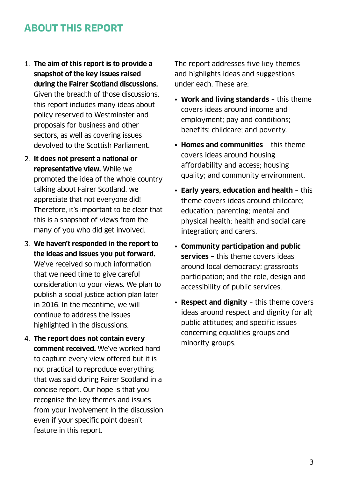# **ABOUT THIS REPORT**

- 1. **The aim of this report is to provide a snapshot of the key issues raised during the Fairer Scotland discussions.**  Given the breadth of those discussions, this report includes many ideas about policy reserved to Westminster and proposals for business and other sectors, as well as covering issues devolved to the Scottish Parliament.
- 2. **It does not present a national or representative view.** While we promoted the idea of the whole country talking about Fairer Scotland, we appreciate that not everyone did! Therefore, it's important to be clear that this is a snapshot of views from the many of you who did get involved.
- 3. **We haven't responded in the report to the ideas and issues you put forward.**  We've received so much information that we need time to give careful consideration to your views. We plan to publish a social justice action plan later in 2016. In the meantime, we will continue to address the issues highlighted in the discussions.
- 4. **The report does not contain every comment received.** We've worked hard to capture every view offered but it is not practical to reproduce everything that was said during Fairer Scotland in a concise report. Our hope is that you recognise the key themes and issues from your involvement in the discussion even if your specific point doesn't feature in this report.

The report addresses five key themes and highlights ideas and suggestions under each. These are:

- **Work and living standards** this theme covers ideas around income and employment; pay and conditions; benefits; childcare; and poverty.
- **Homes and communities** this theme covers ideas around housing affordability and access; housing quality; and community environment.
- **Early years, education and health** this theme covers ideas around childcare; education; parenting; mental and physical health; health and social care integration; and carers.
- **Community participation and public services** – this theme covers ideas around local democracy; grassroots participation; and the role, design and accessibility of public services.
- **Respect and dignity** this theme covers ideas around respect and dignity for all; public attitudes; and specific issues concerning equalities groups and minority groups.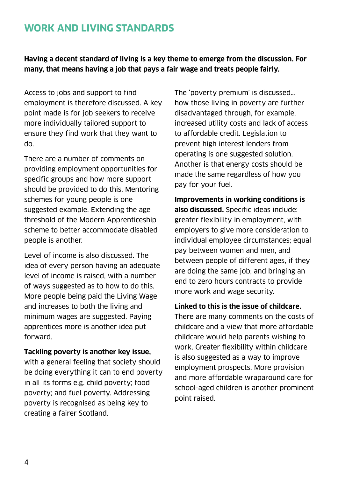# **WORK AND LIVING STANDARDS**

**Having a decent standard of living is a key theme to emerge from the discussion. For many, that means having a job that pays a fair wage and treats people fairly.** 

Access to jobs and support to find employment is therefore discussed. A key point made is for job seekers to receive more individually tailored support to ensure they find work that they want to do.

There are a number of comments on providing employment opportunities for specific groups and how more support should be provided to do this. Mentoring schemes for young people is one suggested example. Extending the age threshold of the Modern Apprenticeship scheme to better accommodate disabled people is another.

Level of income is also discussed. The idea of every person having an adequate level of income is raised, with a number of ways suggested as to how to do this. More people being paid the Living Wage and increases to both the living and minimum wages are suggested. Paying apprentices more is another idea put forward.

#### **Tackling poverty is another key issue,**

with a general feeling that society should be doing everything it can to end poverty in all its forms e.g. child poverty; food poverty; and fuel poverty. Addressing poverty is recognised as being key to creating a fairer Scotland.

The 'poverty premium' is discussed… how those living in poverty are further disadvantaged through, for example, increased utility costs and lack of access to affordable credit. Legislation to prevent high interest lenders from operating is one suggested solution. Another is that energy costs should be made the same regardless of how you pay for your fuel.

**Improvements in working conditions is also discussed.** Specific ideas include: greater flexibility in employment, with employers to give more consideration to individual employee circumstances; equal pay between women and men, and between people of different ages, if they are doing the same job; and bringing an end to zero hours contracts to provide more work and wage security.

#### **Linked to this is the issue of childcare.**

There are many comments on the costs of childcare and a view that more affordable childcare would help parents wishing to work. Greater flexibility within childcare is also suggested as a way to improve employment prospects. More provision and more affordable wraparound care for school-aged children is another prominent point raised.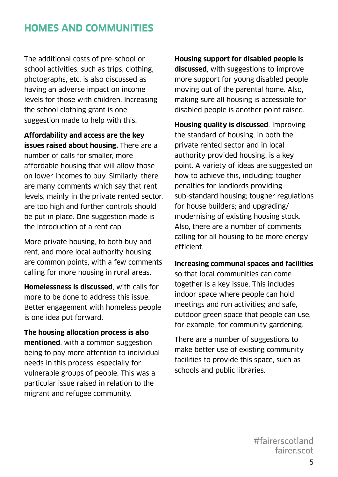## **HOMES AND COMMUNITIES**

The additional costs of pre-school or school activities, such as trips, clothing, photographs, etc. is also discussed as having an adverse impact on income levels for those with children. Increasing the school clothing grant is one suggestion made to help with this.

**Affordability and access are the key issues raised about housing.** There are a number of calls for smaller, more affordable housing that will allow those on lower incomes to buy. Similarly, there are many comments which say that rent levels, mainly in the private rented sector, are too high and further controls should be put in place. One suggestion made is the introduction of a rent cap.

More private housing, to both buy and rent, and more local authority housing, are common points, with a few comments calling for more housing in rural areas.

**Homelessness is discussed**, with calls for more to be done to address this issue. Better engagement with homeless people is one idea put forward.

**The housing allocation process is also mentioned**, with a common suggestion being to pay more attention to individual needs in this process, especially for vulnerable groups of people. This was a particular issue raised in relation to the migrant and refugee community.

**Housing support for disabled people is discussed**, with suggestions to improve more support for young disabled people moving out of the parental home. Also, making sure all housing is accessible for disabled people is another point raised.

**Housing quality is discussed**. Improving the standard of housing, in both the private rented sector and in local authority provided housing, is a key point. A variety of ideas are suggested on how to achieve this, including: tougher penalties for landlords providing sub-standard housing; tougher regulations for house builders; and upgrading/ modernising of existing housing stock. Also, there are a number of comments calling for all housing to be more energy efficient.

#### **Increasing communal spaces and facilities**

so that local communities can come together is a key issue. This includes indoor space where people can hold meetings and run activities; and safe, outdoor green space that people can use, for example, for community gardening.

There are a number of suggestions to make better use of existing community facilities to provide this space, such as schools and public libraries.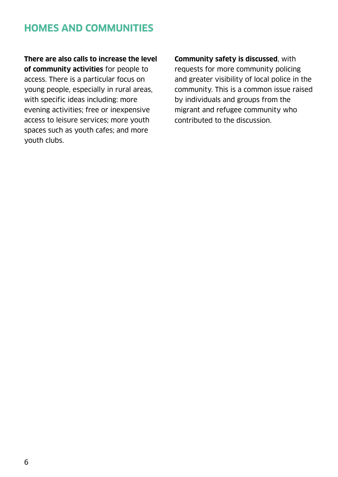# **HOMES AND COMMUNITIES**

**There are also calls to increase the level of community activities** for people to access. There is a particular focus on young people, especially in rural areas, with specific ideas including: more evening activities; free or inexpensive access to leisure services; more youth spaces such as youth cafes; and more youth clubs.

**Community safety is discussed**, with requests for more community policing and greater visibility of local police in the community. This is a common issue raised by individuals and groups from the migrant and refugee community who contributed to the discussion.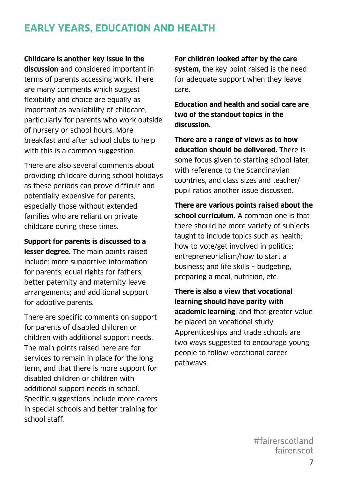# **EARLY YEARS, EDUCATION AND HEALTH**

#### **Childcare is another key issue in the**

**discussion** and considered important in terms of parents accessing work. There are many comments which suggest flexibility and choice are equally as important as availability of childcare, particularly for parents who work outside of nursery or school hours. More breakfast and after school clubs to help with this is a common suggestion.

There are also several comments about providing childcare during school holidays as these periods can prove difficult and potentially expensive for parents, especially those without extended families who are reliant on private childcare during these times.

**Support for parents is discussed to a lesser degree.** The main points raised include: more supportive information for parents; equal rights for fathers; better paternity and maternity leave arrangements; and additional support for adoptive parents.

There are specific comments on support for parents of disabled children or children with additional support needs. The main points raised here are for services to remain in place for the long term, and that there is more support for disabled children or children with additional support needs in school. Specific suggestions include more carers in special schools and better training for school staff.

**For children looked after by the care system,** the key point raised is the need for adequate support when they leave care.

**Education and health and social care are two of the standout topics in the discussion.** 

**There are a range of views as to how education should be delivered.** There is some focus given to starting school later, with reference to the Scandinavian countries, and class sizes and teacher/ pupil ratios another issue discussed.

**There are various points raised about the school curriculum.** A common one is that there should be more variety of subjects taught to include topics such as health; how to vote/get involved in politics; entrepreneurialism/how to start a business; and life skills – budgeting, preparing a meal, nutrition, etc.

**There is also a view that vocational learning should have parity with academic learning**, and that greater value be placed on vocational study. Apprenticeships and trade schools are two ways suggested to encourage young people to follow vocational career pathways.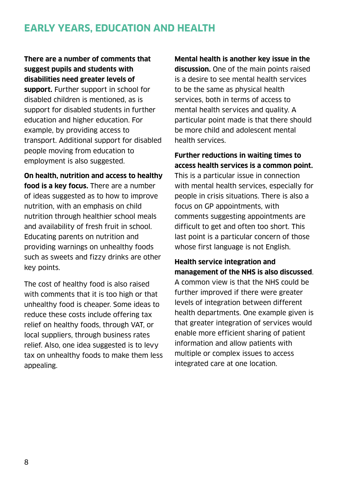# **EARLY YEARS, EDUCATION AND HEALTH**

**There are a number of comments that suggest pupils and students with disabilities need greater levels of support.** Further support in school for disabled children is mentioned, as is support for disabled students in further education and higher education. For example, by providing access to transport. Additional support for disabled people moving from education to employment is also suggested.

**On health, nutrition and access to healthy food is a key focus.** There are a number of ideas suggested as to how to improve nutrition, with an emphasis on child nutrition through healthier school meals and availability of fresh fruit in school. Educating parents on nutrition and providing warnings on unhealthy foods such as sweets and fizzy drinks are other key points.

The cost of healthy food is also raised with comments that it is too high or that unhealthy food is cheaper. Some ideas to reduce these costs include offering tax relief on healthy foods, through VAT, or local suppliers, through business rates relief. Also, one idea suggested is to levy tax on unhealthy foods to make them less appealing.

**Mental health is another key issue in the discussion.** One of the main points raised is a desire to see mental health services to be the same as physical health services, both in terms of access to mental health services and quality. A particular point made is that there should be more child and adolescent mental health services.

**Further reductions in waiting times to access health services is a common point.** This is a particular issue in connection with mental health services, especially for people in crisis situations. There is also a focus on GP appointments, with comments suggesting appointments are difficult to get and often too short. This last point is a particular concern of those whose first language is not English.

#### **Health service integration and management of the NHS is also discussed**.

A common view is that the NHS could be further improved if there were greater levels of integration between different health departments. One example given is that greater integration of services would enable more efficient sharing of patient information and allow patients with multiple or complex issues to access integrated care at one location.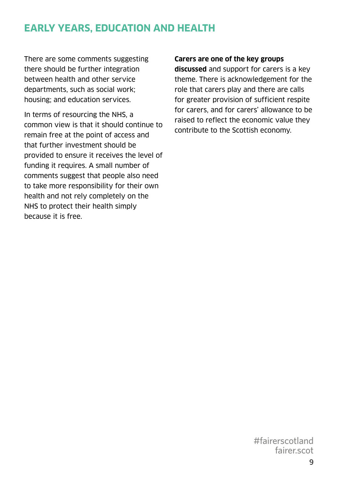# **EARLY YEARS, EDUCATION AND HEALTH**

There are some comments suggesting there should be further integration between health and other service departments, such as social work; housing; and education services.

In terms of resourcing the NHS, a common view is that it should continue to remain free at the point of access and that further investment should be provided to ensure it receives the level of funding it requires. A small number of comments suggest that people also need to take more responsibility for their own health and not rely completely on the NHS to protect their health simply because it is free.

#### **Carers are one of the key groups**

**discussed** and support for carers is a key theme. There is acknowledgement for the role that carers play and there are calls for greater provision of sufficient respite for carers, and for carers' allowance to be raised to reflect the economic value they contribute to the Scottish economy.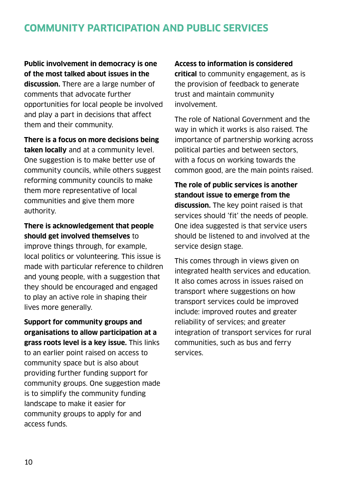# **COMMUNITY PARTICIPATION AND PUBLIC SERVICES**

**Public involvement in democracy is one of the most talked about issues in the discussion.** There are a large number of comments that advocate further opportunities for local people be involved and play a part in decisions that affect them and their community.

**There is a focus on more decisions being taken locally** and at a community level. One suggestion is to make better use of community councils, while others suggest reforming community councils to make them more representative of local communities and give them more authority.

#### **There is acknowledgement that people should get involved themselves** to

improve things through, for example, local politics or volunteering. This issue is made with particular reference to children and young people, with a suggestion that they should be encouraged and engaged to play an active role in shaping their lives more generally.

**Support for community groups and organisations to allow participation at a grass roots level is a key issue.** This links to an earlier point raised on access to community space but is also about providing further funding support for community groups. One suggestion made is to simplify the community funding landscape to make it easier for community groups to apply for and access funds.

#### **Access to information is considered**

**critical** to community engagement, as is the provision of feedback to generate trust and maintain community involvement.

The role of National Government and the way in which it works is also raised. The importance of partnership working across political parties and between sectors, with a focus on working towards the common good, are the main points raised.

**The role of public services is another standout issue to emerge from the discussion.** The key point raised is that services should 'fit' the needs of people. One idea suggested is that service users should be listened to and involved at the service design stage.

This comes through in views given on integrated health services and education. It also comes across in issues raised on transport where suggestions on how transport services could be improved include: improved routes and greater reliability of services; and greater integration of transport services for rural communities, such as bus and ferry services.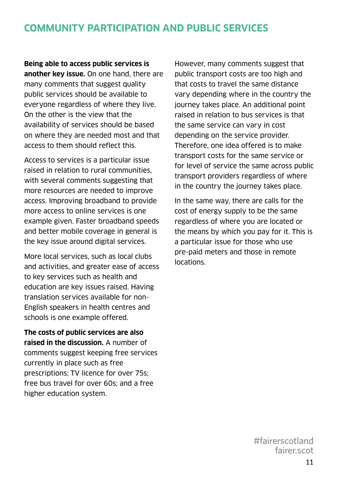# **COMMUNITY PARTICIPATION AND PUBLIC SERVICES**

**Being able to access public services is another key issue.** On one hand, there are many comments that suggest quality public services should be available to everyone regardless of where they live. On the other is the view that the availability of services should be based on where they are needed most and that access to them should reflect this.

Access to services is a particular issue raised in relation to rural communities, with several comments suggesting that more resources are needed to improve access. Improving broadband to provide more access to online services is one example given. Faster broadband speeds and better mobile coverage in general is the key issue around digital services.

More local services, such as local clubs and activities, and greater ease of access to key services such as health and education are key issues raised. Having translation services available for non-English speakers in health centres and schools is one example offered.

**The costs of public services are also raised in the discussion.** A number of comments suggest keeping free services currently in place such as free prescriptions; TV licence for over 75s; free bus travel for over 60s; and a free higher education system.

However, many comments suggest that public transport costs are too high and that costs to travel the same distance vary depending where in the country the journey takes place. An additional point raised in relation to bus services is that the same service can vary in cost depending on the service provider. Therefore, one idea offered is to make transport costs for the same service or for level of service the same across public transport providers regardless of where in the country the journey takes place.

In the same way, there are calls for the cost of energy supply to be the same regardless of where you are located or the means by which you pay for it. This is a particular issue for those who use pre-paid meters and those in remote locations.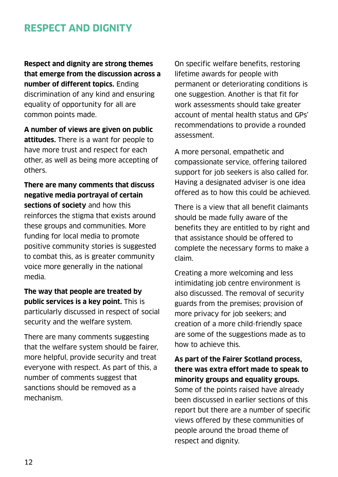### **RESPECT AND DIGNITY**

**Respect and dignity are strong themes that emerge from the discussion across a number of different topics.** Ending discrimination of any kind and ensuring equality of opportunity for all are common points made.

**A number of views are given on public attitudes.** There is a want for people to have more trust and respect for each other, as well as being more accepting of others.

**There are many comments that discuss negative media portrayal of certain sections of society** and how this reinforces the stigma that exists around these groups and communities. More funding for local media to promote positive community stories is suggested to combat this, as is greater community voice more generally in the national media.

**The way that people are treated by public services is a key point.** This is particularly discussed in respect of social security and the welfare system.

There are many comments suggesting that the welfare system should be fairer, more helpful, provide security and treat everyone with respect. As part of this, a number of comments suggest that sanctions should be removed as a mechanism.

On specific welfare benefits, restoring lifetime awards for people with permanent or deteriorating conditions is one suggestion. Another is that fit for work assessments should take greater account of mental health status and GPs' recommendations to provide a rounded assessment.

A more personal, empathetic and compassionate service, offering tailored support for job seekers is also called for. Having a designated adviser is one idea offered as to how this could be achieved.

There is a view that all benefit claimants should be made fully aware of the benefits they are entitled to by right and that assistance should be offered to complete the necessary forms to make a claim.

Creating a more welcoming and less intimidating job centre environment is also discussed. The removal of security guards from the premises; provision of more privacy for job seekers; and creation of a more child-friendly space are some of the suggestions made as to how to achieve this.

**As part of the Fairer Scotland process, there was extra effort made to speak to minority groups and equality groups.**  Some of the points raised have already been discussed in earlier sections of this report but there are a number of specific views offered by these communities of people around the broad theme of respect and dignity.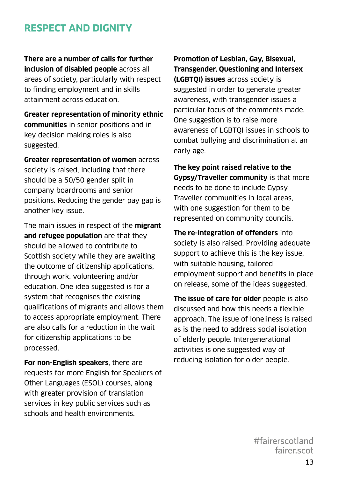## **RESPECT AND DIGNITY**

**There are a number of calls for further inclusion of disabled people** across all areas of society, particularly with respect to finding employment and in skills attainment across education.

**Greater representation of minority ethnic communities** in senior positions and in key decision making roles is also suggested.

**Greater representation of women** across society is raised, including that there should be a 50/50 gender split in company boardrooms and senior positions. Reducing the gender pay gap is another key issue.

The main issues in respect of the **migrant and refugee population** are that they should be allowed to contribute to Scottish society while they are awaiting the outcome of citizenship applications, through work, volunteering and/or education. One idea suggested is for a system that recognises the existing qualifications of migrants and allows them to access appropriate employment. There are also calls for a reduction in the wait for citizenship applications to be processed.

**For non-English speakers**, there are requests for more English for Speakers of Other Languages (ESOL) courses, along with greater provision of translation services in key public services such as schools and health environments.

**Promotion of Lesbian, Gay, Bisexual, Transgender, Questioning and Intersex (LGBTQI) issues** across society is suggested in order to generate greater awareness, with transgender issues a particular focus of the comments made. One suggestion is to raise more awareness of LGBTQI issues in schools to combat bullying and discrimination at an early age.

**The key point raised relative to the Gypsy/Traveller community** is that more needs to be done to include Gypsy Traveller communities in local areas, with one suggestion for them to be represented on community councils.

**The re-integration of offenders** into society is also raised. Providing adequate support to achieve this is the key issue, with suitable housing, tailored employment support and benefits in place on release, some of the ideas suggested.

**The issue of care for older** people is also discussed and how this needs a flexible approach. The issue of loneliness is raised as is the need to address social isolation of elderly people. Intergenerational activities is one suggested way of reducing isolation for older people.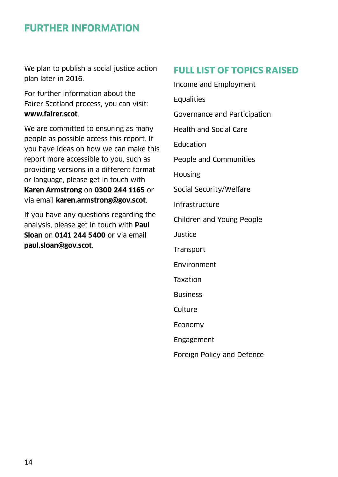### **FURTHER INFORMATION**

We plan to publish a social justice action plan later in 2016.

For further information about the Fairer Scotland process, you can visit: **www.fairer.scot**.

We are committed to ensuring as many people as possible access this report. If you have ideas on how we can make this report more accessible to you, such as providing versions in a different format or language, please get in touch with **Karen Armstrong** on **0300 244 1165** or via email **k[aren.armstrong@gov.scot](mailto:karen.armstong%40gov.scot?subject=)**.

If you have any questions regarding the analysis, please get in touch with **Paul Sloan** on **0141 244 5400** or via email **[paul.sloan@gov.scot](mailto:paul.sloan@gov.scot)**.

### **FULL LIST OF TOPICS RAISED**

Income and Employment **Equalities** Governance and Participation Health and Social Care **Education** People and Communities Housing Social Security/Welfare Infrastructure Children and Young People **Justice Transport** Environment Taxation Business **Culture** Economy Engagement Foreign Policy and Defence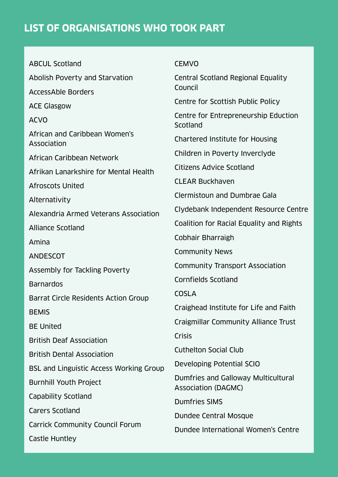ABCUL Scotland Abolish Poverty and Starvation AccessAble Borders ACE Glasgow ACVO African and Caribbean Women's Association African Caribbean Network Afrikan Lanarkshire for Mental Health Afroscots United Alternativity Alexandria Armed Veterans Association Alliance Scotland Amina ANDESCOT Assembly for Tackling Poverty Barnardos Barrat Circle Residents Action Group **BEMIS** BE United British Deaf Association British Dental Association BSL and Linguistic Access Working Group Burnhill Youth Project Capability Scotland Carers Scotland Carrick Community Council Forum Castle Huntley

#### CEMVO

Central Scotland Regional Equality Council

Centre for Scottish Public Policy

Centre for Entrepreneurship Eduction Scotland

Chartered Institute for Housing

Children in Poverty Inverclyde

Citizens Advice Scotland

CLEAR Buckhaven

Clermistoun and Dumbrae Gala

Clydebank Independent Resource Centre

Coalition for Racial Equality and Rights

Cobhair Bharraigh

Community News

Community Transport Association

Cornfields Scotland

COSLA

Craighead Institute for Life and Faith

Craigmillar Community Alliance Trust

**Crisis** 

Cuthelton Social Club

Developing Potential SCIO

Dumfries and Galloway Multicultural Association (DAGMC)

Dumfries SIMS

Dundee Central Mosque

Dundee International Women's Centre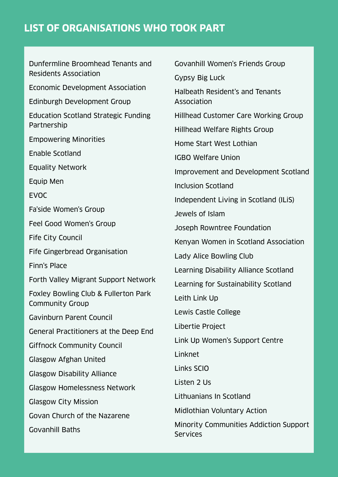Dunfermline Broomhead Tenants and Residents Association Economic Development Association Edinburgh Development Group Education Scotland Strategic Funding Partnership Empowering Minorities Enable Scotland Equality Network Equip Men EVOC Fa'side Women's Group Feel Good Women's Group Fife City Council Fife Gingerbread Organisation Finn's Place Forth Valley Migrant Support Network Foxley Bowling Club & Fullerton Park Community Group Gavinburn Parent Council General Practitioners at the Deep End Giffnock Community Council Glasgow Afghan United Glasgow Disability Alliance Glasgow Homelessness Network Glasgow City Mission Govan Church of the Nazarene Govanhill Baths Govanhill Women's Friends Group Gypsy Big Luck Halbeath Resident's and Tenants Association Hillhead Customer Care Working Group Hillhead Welfare Rights Group Home Start West Lothian IGBO Welfare Union Improvement and Development Scotland Inclusion Scotland Independent Living in Scotland (ILiS) Jewels of Islam Joseph Rowntree Foundation Kenyan Women in Scotland Association Lady Alice Bowling Club Learning Disability Alliance Scotland Learning for Sustainability Scotland Leith Link Up Lewis Castle College Libertie Project Link Up Women's Support Centre Linknet Links SCIO Listen 2 Us Lithuanians In Scotland Midlothian Voluntary Action Minority Communities Addiction Support **Services**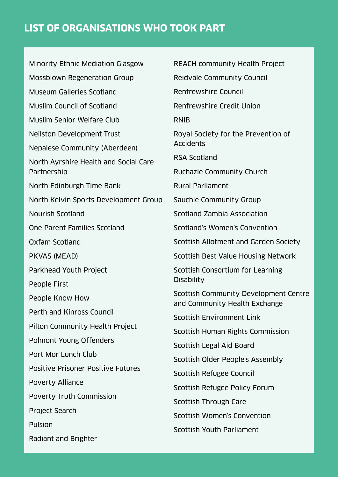Minority Ethnic Mediation Glasgow Mossblown Regeneration Group Museum Galleries Scotland Muslim Council of Scotland Muslim Senior Welfare Club Neilston Development Trust Nepalese Community (Aberdeen) North Ayrshire Health and Social Care Partnership North Edinburgh Time Bank North Kelvin Sports Development Group Nourish Scotland One Parent Families Scotland Oxfam Scotland PKVAS (MEAD) Parkhead Youth Project People First People Know How Perth and Kinross Council Pilton Community Health Project Polmont Young Offenders Port Mor Lunch Club Positive Prisoner Positive Futures Poverty Alliance Poverty Truth Commission Project Search Pulsion Radiant and Brighter

REACH community Health Project Reidvale Community Council Renfrewshire Council Renfrewshire Credit Union RNIB Royal Society for the Prevention of Accidents RSA Scotland Ruchazie Community Church Rural Parliament Sauchie Community Group Scotland Zambia Association Scotland's Women's Convention Scottish Allotment and Garden Society Scottish Best Value Housing Network Scottish Consortium for Learning **Disability** Scottish Community Development Centre and Community Health Exchange Scottish Environment Link Scottish Human Rights Commission Scottish Legal Aid Board Scottish Older People's Assembly Scottish Refugee Council Scottish Refugee Policy Forum Scottish Through Care Scottish Women's Convention Scottish Youth Parliament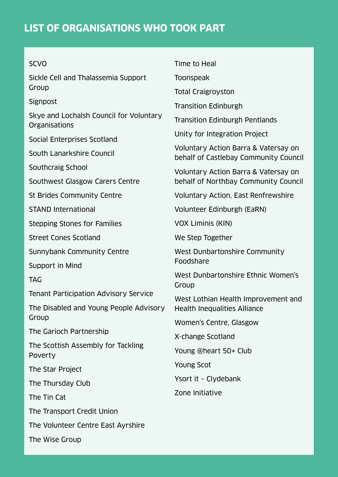| <b>SCVO</b>                                                     | Time to Heal                                                                  |
|-----------------------------------------------------------------|-------------------------------------------------------------------------------|
| Sickle Cell and Thalassemia Support                             | Toonspeak                                                                     |
| Group                                                           | <b>Total Craigroyston</b>                                                     |
| Signpost                                                        | <b>Transition Edinburgh</b>                                                   |
| Skye and Lochalsh Council for Voluntary<br><b>Organisations</b> | <b>Transition Edinburgh Pentlands</b>                                         |
| Social Enterprises Scotland                                     | Unity for Integration Project                                                 |
| South Lanarkshire Council                                       | Voluntary Action Barra & Vatersay on<br>behalf of Castlebay Community Council |
| Southcraig School                                               | Voluntary Action Barra & Vatersay on<br>behalf of Northbay Community Council  |
| Southwest Glasgow Carers Centre                                 |                                                                               |
| St Brides Community Centre                                      | Voluntary Action, East Renfrewshire                                           |
| <b>STAND International</b>                                      | Volunteer Edinburgh (EaRN)                                                    |
| <b>Stepping Stones for Families</b>                             | <b>VOX Liminis (KIN)</b>                                                      |
| <b>Street Cones Scotland</b>                                    | We Step Together                                                              |
| Sunnybank Community Centre                                      | West Dunbartonshire Community<br>Foodshare                                    |
| Support in Mind                                                 |                                                                               |
| TAG                                                             | West Dunbartonshire Ethnic Women's<br>Group                                   |
| Tenant Participation Advisory Service                           | West Lothian Health Improvement and<br><b>Health Inequalities Alliance</b>    |
| The Disabled and Young People Advisory                          |                                                                               |
| Group                                                           | Women's Centre, Glasgow                                                       |
| The Garioch Partnership                                         | X-change Scotland                                                             |
| The Scottish Assembly for Tackling<br>Poverty                   | Young @heart 50+ Club                                                         |
| The Star Project                                                | <b>Young Scot</b>                                                             |
| The Thursday Club                                               | Ysort it - Clydebank                                                          |
| The Tin Cat                                                     | Zone Initiative                                                               |
| The Transport Credit Union                                      |                                                                               |
| The Volunteer Centre East Ayrshire                              |                                                                               |
| The Wise Group                                                  |                                                                               |
|                                                                 |                                                                               |